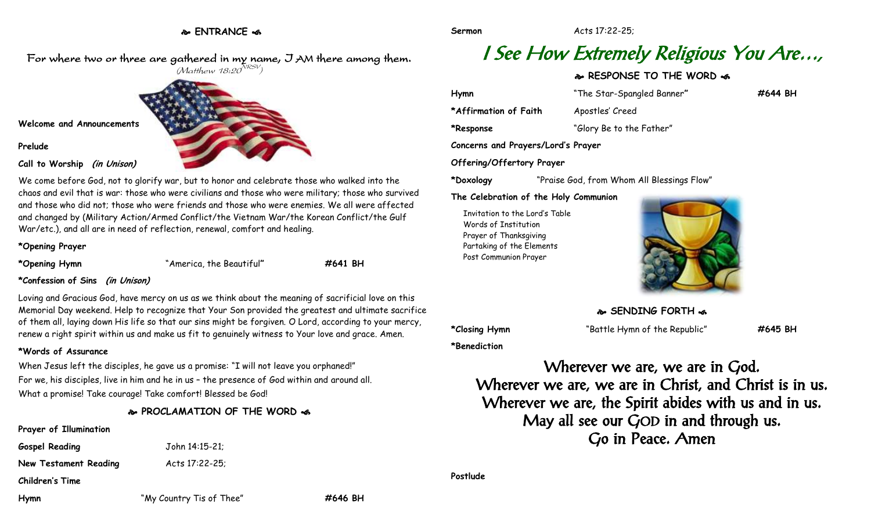**ENTRANCE** 

For where two or three are gathered in my name, I AM there among them.  $(M$ atthew 18:20 $^{NRSV})$ 



We come before God, not to glorify war, but to honor and celebrate those who walked into the chaos and evil that is war: those who were civilians and those who were military; those who survived and those who did not; those who were friends and those who were enemies. We all were affected and changed by (Military Action/Armed Conflict/the Vietnam War/the Korean Conflict/the Gulf War/etc.), and all are in need of reflection, renewal, comfort and healing.

#### **\*Opening Prayer**

**Prelude**

**\*Opening Hymn** "America, the Beautiful**" #641 BH**

### **\*Confession of Sins (in Unison)**

Loving and Gracious God, have mercy on us as we think about the meaning of sacrificial love on this Memorial Day weekend. Help to recognize that Your Son provided the greatest and ultimate sacrifice of them all, laying down His life so that our sins might be forgiven. O Lord, according to your mercy, renew a right spirit within us and make us fit to genuinely witness to Your love and grace. Amen.

#### **\*Words of Assurance**

When Jesus left the disciples, he gave us a promise: "I will not leave you orphaned!" For we, his disciples, live in him and he in us – the presence of God within and around all. What a promise! Take courage! Take comfort! Blessed be God!

## **PROCLAMATION OF THE WORD**

### **Prayer of Illumination**

**Gospel Reading** John 14:15-21; **New Testament Reading Mets 17:22-25;** 

**Children's Time**

**Hymn** "My Country Tis of Thee" **#646 BH**

**Sermon** Acts 17:22-25;

# I See How Extremely Religious You Are…,

## **RESPONSE TO THE WORD**  $\approx$

| Hymn                               | "The Star-Spangled Banner" | #644 BH |
|------------------------------------|----------------------------|---------|
| *Affirmation of Faith              | Apostles' Creed            |         |
| *Response                          | "Glory Be to the Father"   |         |
| Concerns and Prayers/Lord's Prayer |                            |         |
| Offering/Offertory Prayer          |                            |         |

**\*Doxology** "Praise God, from Whom All Blessings Flow"

#### **The Celebration of the Holy Communion**

Invitation to the Lord's Table Words of Institution Prayer of Thanksgiving Partaking of the Elements Post Communion Prayer



**SENDING FORTH &** 

**\*Closing Hymn** "Battle Hymn of the Republic" **#645 BH**

**\*Benediction**

Wherever we are, we are in God. Wherever we are, we are in Christ, and Christ is in us. Wherever we are, the Spirit abides with us and in us. May all see our GOD in and through us. Go in Peace. Amen

**Postlude**